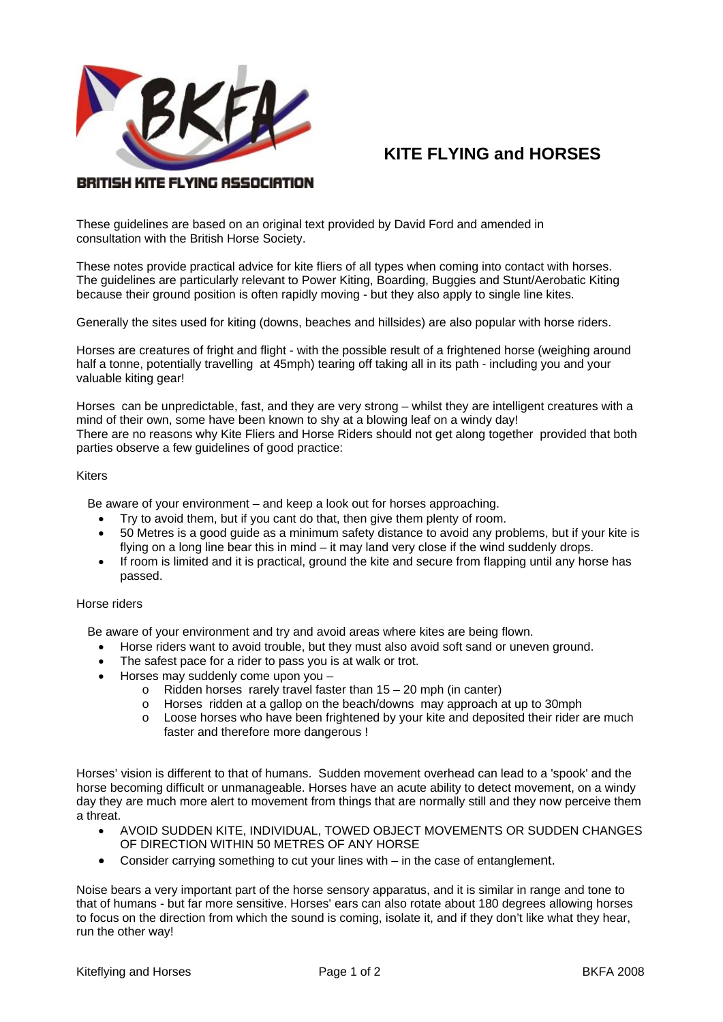

# **KITE FLYING and HORSES**

# BRITISH KITE FLYING ASSOCIATION

These guidelines are based on an original text provided by David Ford and amended in consultation with the British Horse Society.

These notes provide practical advice for kite fliers of all types when coming into contact with horses. The guidelines are particularly relevant to Power Kiting, Boarding, Buggies and Stunt/Aerobatic Kiting because their ground position is often rapidly moving - but they also apply to single line kites.

Generally the sites used for kiting (downs, beaches and hillsides) are also popular with horse riders.

Horses are creatures of fright and flight - with the possible result of a frightened horse (weighing around half a tonne, potentially travelling at 45mph) tearing off taking all in its path - including you and your valuable kiting gear!

Horses can be unpredictable, fast, and they are very strong – whilst they are intelligent creatures with a mind of their own, some have been known to shy at a blowing leaf on a windy day! There are no reasons why Kite Fliers and Horse Riders should not get along together provided that both parties observe a few guidelines of good practice:

#### **Kiters**

Be aware of your environment – and keep a look out for horses approaching.

- Try to avoid them, but if you cant do that, then give them plenty of room.
- 50 Metres is a good guide as a minimum safety distance to avoid any problems, but if your kite is flying on a long line bear this in mind – it may land very close if the wind suddenly drops.
- If room is limited and it is practical, ground the kite and secure from flapping until any horse has passed.

### Horse riders

Be aware of your environment and try and avoid areas where kites are being flown.

- Horse riders want to avoid trouble, but they must also avoid soft sand or uneven ground.
- The safest pace for a rider to pass you is at walk or trot.
- Horses may suddenly come upon you
	- o Ridden horses rarely travel faster than 15 20 mph (in canter)
	- o Horses ridden at a gallop on the beach/downs may approach at up to 30mph
	- $\circ$  Loose horses who have been frightened by your kite and deposited their rider are much faster and therefore more dangerous !

Horses' vision is different to that of humans. Sudden movement overhead can lead to a 'spook' and the horse becoming difficult or unmanageable. Horses have an acute ability to detect movement, on a windy day they are much more alert to movement from things that are normally still and they now perceive them a threat.

- AVOID SUDDEN KITE, INDIVIDUAL, TOWED OBJECT MOVEMENTS OR SUDDEN CHANGES OF DIRECTION WITHIN 50 METRES OF ANY HORSE
- Consider carrying something to cut your lines with in the case of entanglement.

Noise bears a very important part of the horse sensory apparatus, and it is similar in range and tone to that of humans - but far more sensitive. Horses' ears can also rotate about 180 degrees allowing horses to focus on the direction from which the sound is coming, isolate it, and if they don't like what they hear, run the other way!